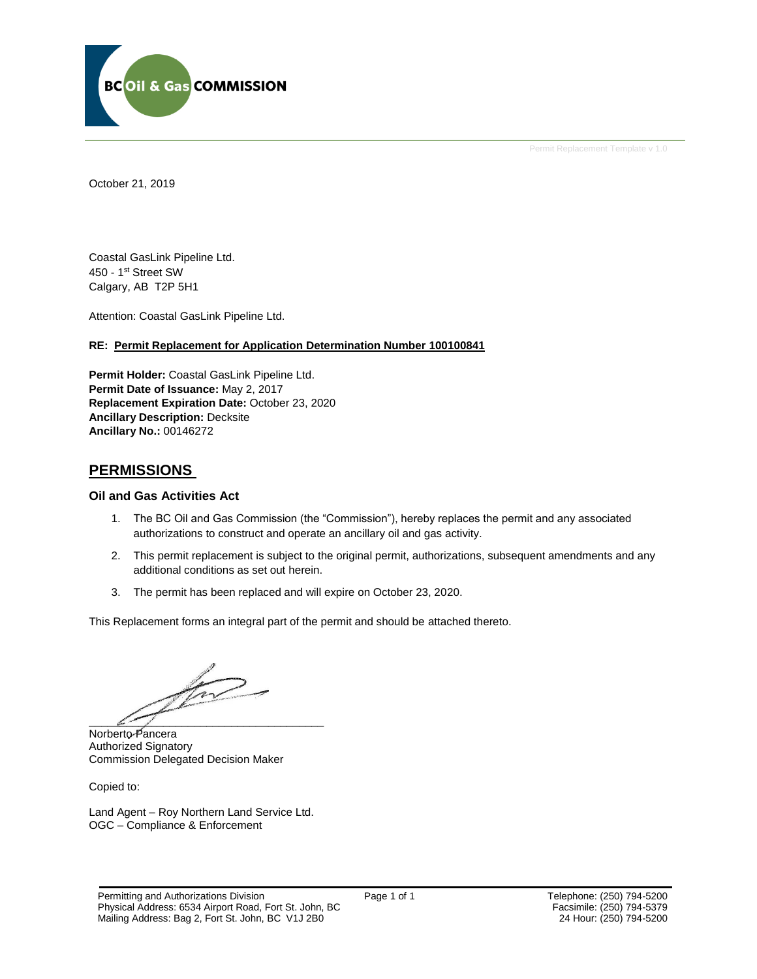

Permit Replacement Template v 1.0

October 21, 2019

Coastal GasLink Pipeline Ltd. 450 - 1st Street SW Calgary, AB T2P 5H1

Attention: Coastal GasLink Pipeline Ltd.

### **RE: Permit Replacement for Application Determination Number 100100841**

**Permit Holder:** Coastal GasLink Pipeline Ltd. **Permit Date of Issuance:** May 2, 2017 **Replacement Expiration Date:** October 23, 2020 **Ancillary Description:** Decksite **Ancillary No.:** 00146272

### **PERMISSIONS**

### **Oil and Gas Activities Act**

- 1. The BC Oil and Gas Commission (the "Commission"), hereby replaces the permit and any associated authorizations to construct and operate an ancillary oil and gas activity.
- 2. This permit replacement is subject to the original permit, authorizations, subsequent amendments and any additional conditions as set out herein.
- 3. The permit has been replaced and will expire on October 23, 2020.

This Replacement forms an integral part of the permit and should be attached thereto.

 $\mathcal{L}$  , and the same set of the same set of the same set of the same set of the same set of the same set of the same set of the same set of the same set of the same set of the same set of the same set of the same set o

Norberto Pancera Authorized Signatory Commission Delegated Decision Maker

Copied to:

Land Agent – Roy Northern Land Service Ltd. OGC – Compliance & Enforcement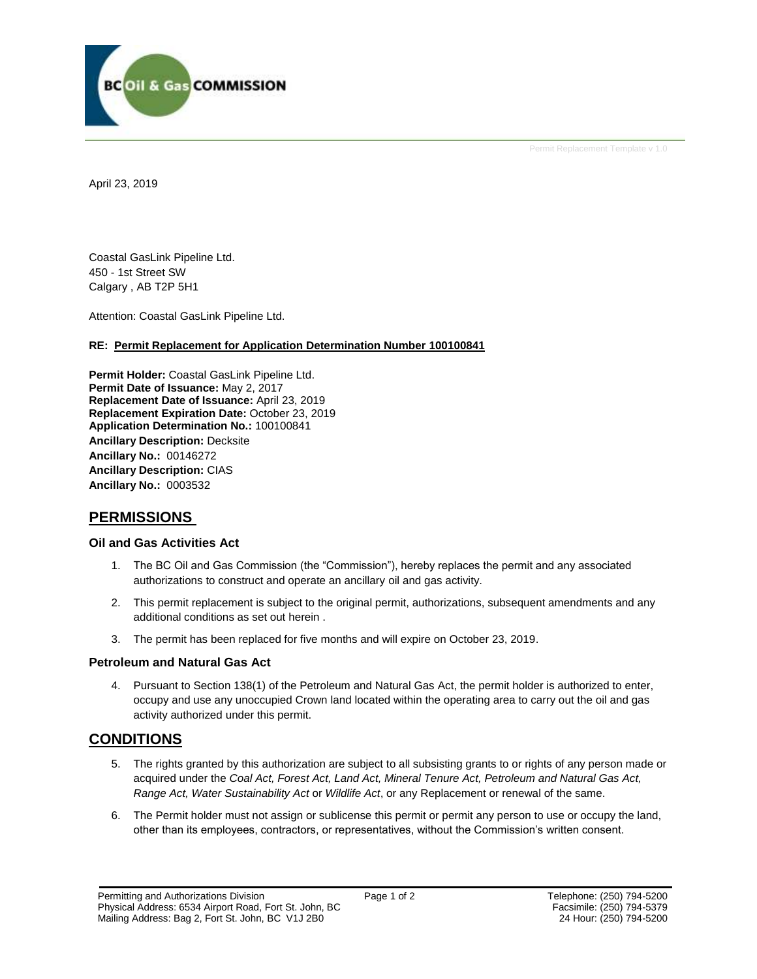

Permit Replacement Template v 1.0

April 23, 2019

Coastal GasLink Pipeline Ltd. 450 - 1st Street SW Calgary , AB T2P 5H1

Attention: Coastal GasLink Pipeline Ltd.

### **RE: Permit Replacement for Application Determination Number 100100841**

**Permit Holder:** Coastal GasLink Pipeline Ltd. **Permit Date of Issuance:** May 2, 2017 **Replacement Date of Issuance:** April 23, 2019 **Replacement Expiration Date:** October 23, 2019 **Application Determination No.:** 100100841 **Ancillary Description:** Decksite **Ancillary No.:** 00146272 **Ancillary Description:** CIAS **Ancillary No.:** 0003532

## **PERMISSIONS**

### **Oil and Gas Activities Act**

- 1. The BC Oil and Gas Commission (the "Commission"), hereby replaces the permit and any associated authorizations to construct and operate an ancillary oil and gas activity.
- 2. This permit replacement is subject to the original permit, authorizations, subsequent amendments and any additional conditions as set out herein .
- 3. The permit has been replaced for five months and will expire on October 23, 2019.

### **Petroleum and Natural Gas Act**

4. Pursuant to Section 138(1) of the Petroleum and Natural Gas Act, the permit holder is authorized to enter, occupy and use any unoccupied Crown land located within the operating area to carry out the oil and gas activity authorized under this permit.

# **CONDITIONS**

- 5. The rights granted by this authorization are subject to all subsisting grants to or rights of any person made or acquired under the *Coal Act, Forest Act, Land Act, Mineral Tenure Act, Petroleum and Natural Gas Act, Range Act, Water Sustainability Act* or *Wildlife Act*, or any Replacement or renewal of the same.
- 6. The Permit holder must not assign or sublicense this permit or permit any person to use or occupy the land, other than its employees, contractors, or representatives, without the Commission's written consent.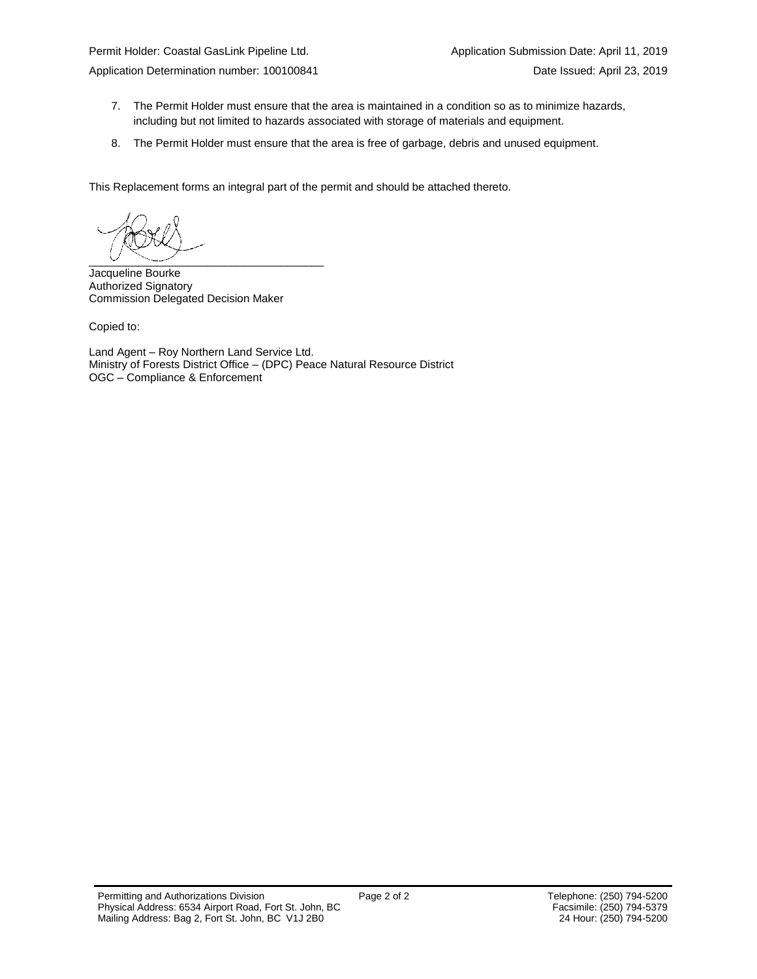- 7. The Permit Holder must ensure that the area is maintained in a condition so as to minimize hazards, including but not limited to hazards associated with storage of materials and equipment.
- 8. The Permit Holder must ensure that the area is free of garbage, debris and unused equipment.

This Replacement forms an integral part of the permit and should be attached thereto.

 $\overline{\phantom{a}}$   $\overline{\phantom{a}}$   $\overline{\phantom{a}}$   $\overline{\phantom{a}}$   $\overline{\phantom{a}}$   $\overline{\phantom{a}}$   $\overline{\phantom{a}}$   $\overline{\phantom{a}}$   $\overline{\phantom{a}}$   $\overline{\phantom{a}}$   $\overline{\phantom{a}}$   $\overline{\phantom{a}}$   $\overline{\phantom{a}}$   $\overline{\phantom{a}}$   $\overline{\phantom{a}}$   $\overline{\phantom{a}}$   $\overline{\phantom{a}}$   $\overline{\phantom{a}}$   $\overline{\$ 

Jacqueline Bourke Authorized Signatory Commission Delegated Decision Maker

Copied to:

Land Agent – Roy Northern Land Service Ltd. Ministry of Forests District Office – (DPC) Peace Natural Resource District OGC – Compliance & Enforcement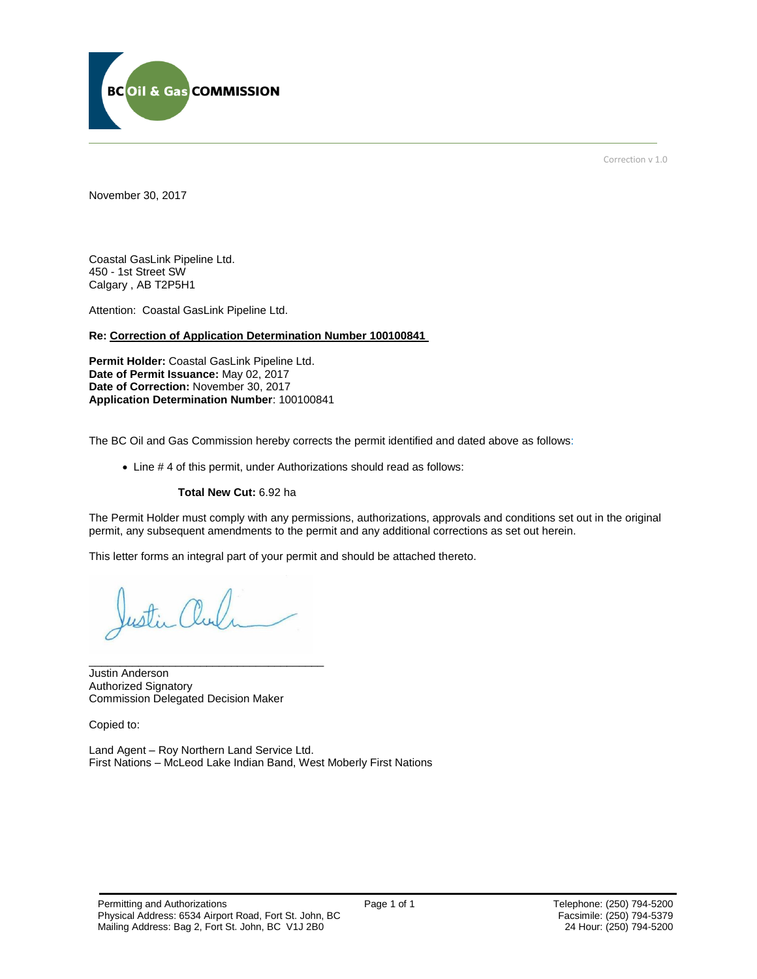

Correction v 1.0

November 30, 2017

Coastal GasLink Pipeline Ltd. 450 - 1st Street SW Calgary , AB T2P5H1

Attention: Coastal GasLink Pipeline Ltd.

#### **Re: Correction of Application Determination Number 100100841**

**Permit Holder:** Coastal GasLink Pipeline Ltd. **Date of Permit Issuance:** May 02, 2017 **Date of Correction:** November 30, 2017 **Application Determination Number**: 100100841

The BC Oil and Gas Commission hereby corrects the permit identified and dated above as follows:

Line # 4 of this permit, under Authorizations should read as follows:

#### **Total New Cut:** 6.92 ha

The Permit Holder must comply with any permissions, authorizations, approvals and conditions set out in the original permit, any subsequent amendments to the permit and any additional corrections as set out herein.

This letter forms an integral part of your permit and should be attached thereto.

\_\_\_\_\_\_\_\_\_\_\_\_\_\_\_\_\_\_\_\_\_\_\_\_\_\_\_\_\_\_\_\_\_\_\_\_\_\_

Justin Anderson Authorized Signatory Commission Delegated Decision Maker

Copied to:

Land Agent – Roy Northern Land Service Ltd. First Nations – McLeod Lake Indian Band, West Moberly First Nations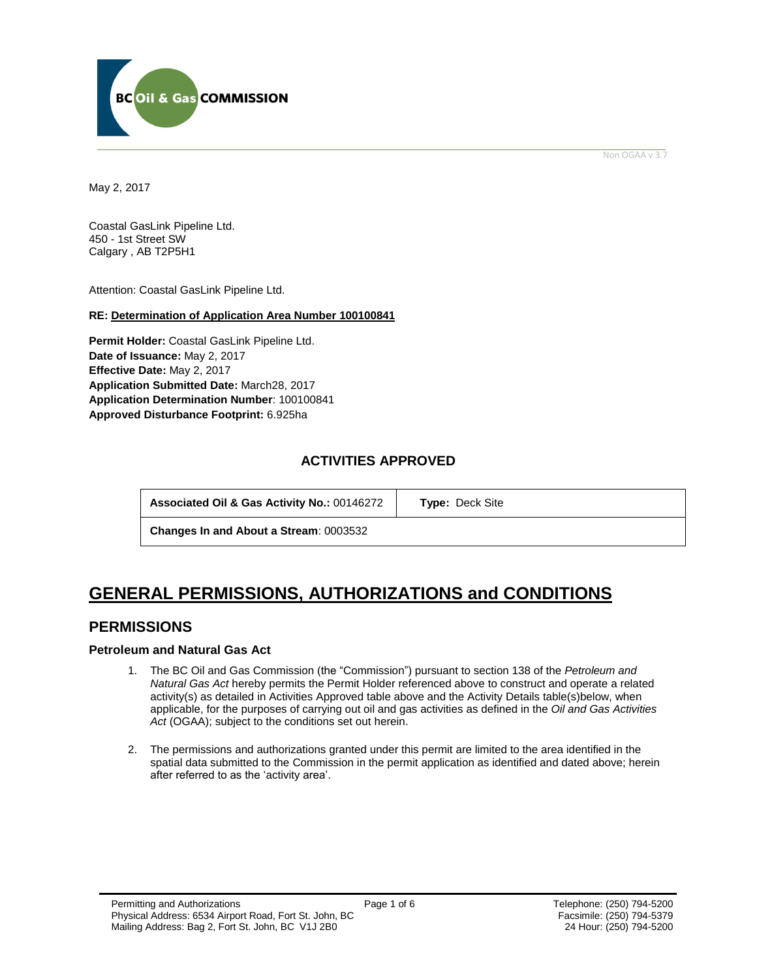

Non OGAA v 3.7

<span id="page-4-0"></span>May 2, 2017

Coastal GasLink Pipeline Ltd. 450 - 1st Street SW Calgary , AB T2P5H1

Attention: Coastal GasLink Pipeline Ltd.

### **RE: Determination of Application Area Number 100100841**

**Permit Holder:** Coastal GasLink Pipeline Ltd. **Date of Issuance:** May 2, 2017 **Effective Date:** May 2, 2017 **Application Submitted Date:** March28, 2017 **Application Determination Number**: 100100841 **[Approved Disturbance Footprint:](#page-4-0)** 6.925ha

### **ACTIVITIES APPROVED**

**Associated Oil & Gas Activity No.:** 00146272 **[Type:](https://bi.bcogc.ca/Application%20Processing/Interactive%20Reports/(BIL-041)%20AMS%20Decision%20Summary.aspx)** Deck Site

**Changes In and About a Stream**: 0003532

# **GENERAL [PERMISSIONS,](#page-4-0) AUTHORIZATIONS and CONDITIONS**

### **PERMISSIONS**

### **Petroleum and Natural Gas Act**

- 1. The BC Oil and Gas Commission (the "Commission") pursuant to section 138 of the *Petroleum and Natural Gas Act* hereby permits the Permit Holder referenced above to construct and operate a related activity(s) as detailed in Activities Approved table above and the Activity Details table(s)below, when applicable, for the purposes of carrying out oil and gas activities as defined in the *Oil and Gas Activities Act* (OGAA); subject to the conditions set out herein.
- 2. Th[e permissions](#page-4-0) and authorizations granted under this permit are limited to the area identified in the spatial data submitted to the Commission in the permit application as identified and dated above; herein after referred to as the 'activity area'.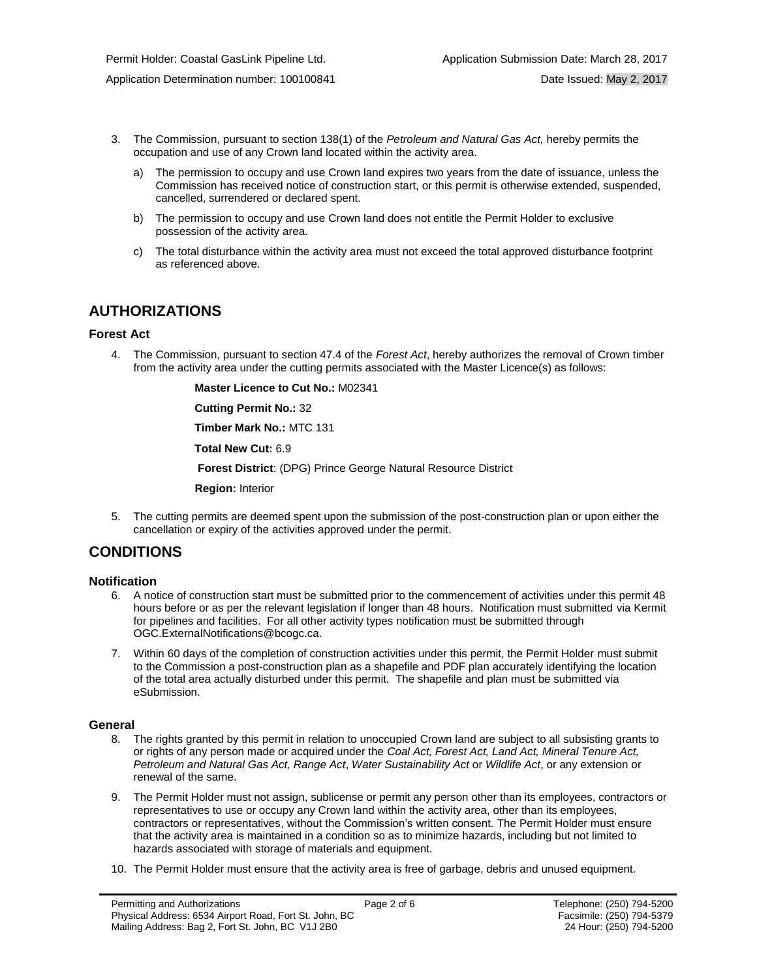- 3. The Commission, pursuant to section 138(1) of the *Petroleum and Natural Gas Act,* hereby permits the occupation and use of any Crown land located within the activity area.
	- a) The permission to occupy and use Crown land expires two years from the date of issuance, unless the Commission has received notice of construction start, or this permit is otherwise extended, suspended, cancelled, surrendered or declared spent.
	- b) The permission to occupy and use Crown land does not entitle the Permit Holder to exclusive possession of the activity area.
	- c) The total disturbance within the activity area must not exceed the total approved disturbance footprint as referenced above.

# **AUTHORIZATIONS**

### **Forest Act**

4. The Commission, pursuant to section 47.4 of the *Forest Act*, hereby [authorizes](#page-4-0) the removal of Crown timber from the activity area under the cutting permits associated with the Master Licence(s) as follows:

**Master Licence to Cut No.:** M02341

**Cutting Permit No.:** 32

**Timber Mark No.:** MTC 131

**Total New Cut:** 6.9

**[Forest District](https://ams-crd.bcogc.ca/crd/)**: (DPG) Prince George Natural Resource District

**Region:** Interior

5. The cutting permits are deemed spent upon the submission of the post-construction plan or upon either the cancellation or expiry of the activities [approve](#page-4-0)d under the permit.

## **CONDITIONS**

### **Notification**

- 6. A notice of construction start must be submitted prior to the commencement of activities under this permit 48 hours before or as per the relevant legislation if longer than 48 hours. Notification must submitted via Kermit for pipelines and facilities. For all other activity types notification must be submitted through [OGC.ExternalNotifications@bcogc.ca.](mailto:OGC.ExternalNotifications@bcogc.ca)
- 7. Within 60 days of the completion of construction activities under this permit, the Permit Holder must submit to the Commission a post-construction plan as a shapefile and PDF plan accurately identifying the location of the total area actually disturbed under this permit. The shapefile and plan must be submitted via eSubmission.

### **General**

- 8. The rights granted by this permit in relation to unoccupied Crown land are subject to all subsisting grants to or rights of any person made or acquired under the *Coal Act, Forest Act, Land Act, Mineral Tenure Act, Petroleum and Natural Gas Act, Range Act*, *Water Sustainability Act* or *Wildlife Act*, or any extension or renewal of the same.
- 9. The Permit Holder must not assign, sublicense or permit any person other than its employees, contractors or representatives to use or occupy any Crown land within the activity area, other than its employees, contractors or representatives, without the Commission's written consent. The Permit Holder must ensure that the activity area is maintained in a condition so as to minimize hazards, including but not limited to hazards associated with storage of materials and equipment.
- 10. The Permit Holder must ensure that the activity area is free of garbage, debris and unused equipment.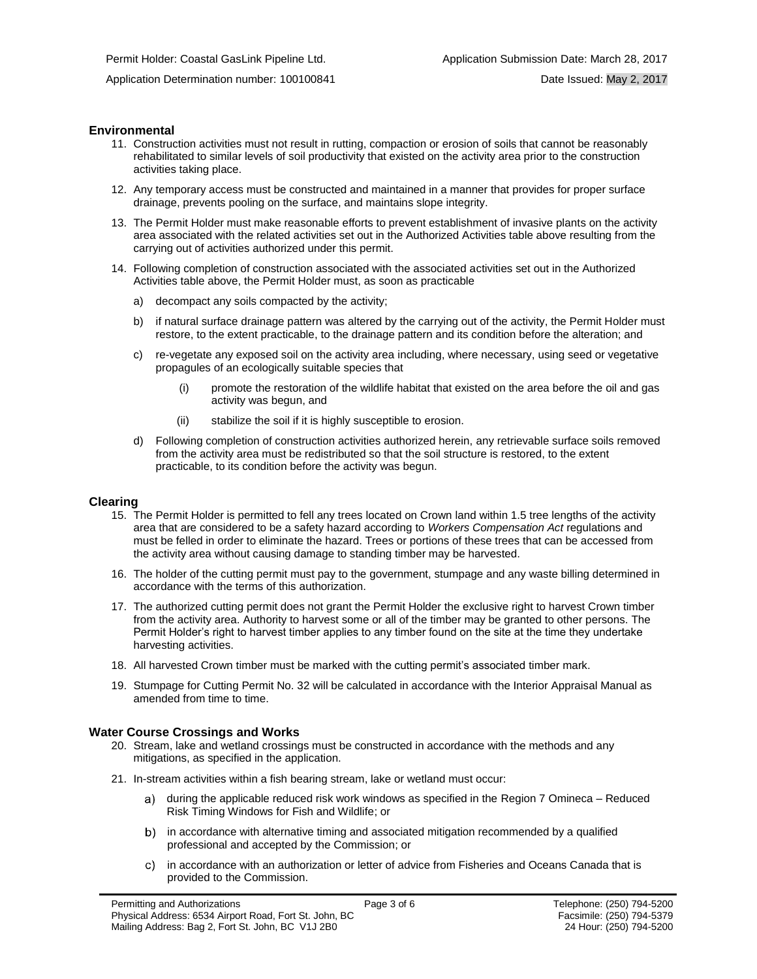### **Environmental**

- 11. Construction activities must not result in rutting, compaction or erosion of soils that cannot be reasonably rehabilitated to similar levels of soil productivity that existed on the activity area prior to the construction activities taking place.
- 12. Any temporary access must be constructed and maintained in a manner that provides for proper surface drainage, prevents pooling on the surface, and maintains slope integrity.
- 13. The Permit Holder must make reasonable efforts to prevent establishment of invasive plants on the activity area associated with the related activities set out in the Authorized Activities table above resulting from the carrying out of activities authorized under this permit.
- 14. Following completion of construction associated with the associated activities set out in the Authorized Activities table above, the Permit Holder must, as soon as practicable
	- a) decompact any soils compacted by the activity;
	- b) if natural surface drainage pattern was altered by the carrying out of the activity, the Permit Holder must restore, to the extent practicable, to the drainage pattern and its condition before the alteration; and
	- c) re-vegetate any exposed soil on the activity area including, where necessary, using seed or vegetative propagules of an ecologically suitable species that
		- (i) promote the restoration of the wildlife habitat that existed on the area before the oil and gas activity was begun, and
		- (ii) stabilize the soil if it is highly susceptible to erosion.
	- d) Following completion of construction activities authorized herein, any retrievable surface soils removed from the activity area must be redistributed so that the soil structure is restored, to the extent practicable, to its condition before the activity was begun.

#### **Clearing**

- 15. The Permit Holder is permitted to fell any trees located on Crown land within 1.5 tree lengths of the activity area that are considered to be a safety hazard according to *Workers Compensation Act* regulations and must be felled in order to eliminate the hazard. Trees or portions of these trees that can be accessed from the activity area without causing damage to standing timber may be harvested.
- 16. The holder of the cutting permit must pay to the government, stumpage and any waste billing determined in accordance with the terms of this [authorization.](#page-4-0)
- 17. The [authorized](#page-4-0) cutting permit does not grant the Permit Holder the exclusive right to harvest Crown timber from the activity area. Authority to harvest some or all of the timber may be granted to other persons. The Permit Holder's right to harvest timber applies to any timber found on the site at the time they undertake harvesting activities.
- 18. All harvested Crown timber must be marked with the cutting permit's associated timber mark.
- 19. Stumpage for Cutting Permit No. 32 will be calculated in accordance with the Interior Appraisal Manual as amended from time to time.

#### **Water Course Crossings and Works**

- 20. Stream, lake and wetland crossings must be constructed in accordance with the methods and any mitigations, as specified in the application.
- 21. In-stream activities within a fish bearing stream, lake or wetland must occur:
	- a) [during the applicable reduced risk work windows as specified in the](#page-4-0) Region 7 Omineca Reduced Risk Timing Windows for Fish and Wildlife; or
	- in accordance with alternative timing and associated mitigation recommended by a qualified professional and accepted by [the](#page-4-0) Commission; or
	- in accordance with an authorization or letter of advice from Fisheries and Oceans Canada that is provided to the Commission.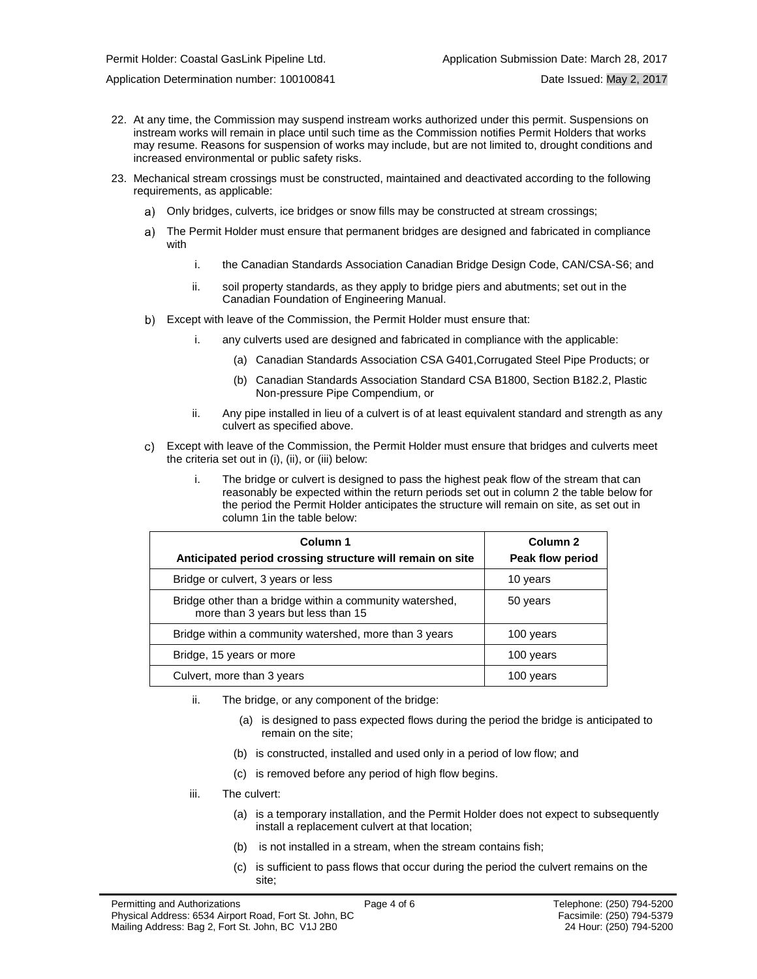Application Determination number: 100100841 Date Issued: May 2, 2017

- 22. At any time, the Commission may suspend instream works [authorized](#page-4-0) under this permit. Suspensions on instream works will remain in place until such time as the Commission notifies Permit Holders that works may resume. Reasons for suspension of works may include, but are not limited to, drought conditions and increased environmental or public safety risks.
- 23. Mechanical stream crossings must be constructed, maintained and deactivated according to the following requirements, as applicable:
	- Only bridges, culverts, ice bridges or snow fills may be constructed at stream crossings;
	- a) The Permit Holder must ensure that permanent bridges are designed and fabricated in compliance with
		- i. the Canadian Standards Association Canadian Bridge Design Code, CAN/CSA-S6; and
		- ii. soil property standards, as they apply to bridge piers and abutments; set out in the Canadian Foundation of Engineering Manual.
	- Except with leave of the Commission, the Permit Holder must ensure that:
		- i. any culverts used are designed and fabricated in compliance with the applicable:
			- (a) Canadian Standards Association CSA G401,Corrugated Steel Pipe Products; or
			- (b) Canadian Standards Association Standard CSA B1800, Section B182.2, Plastic Non-pressure Pipe Compendium, or
		- ii. Any pipe installed in lieu of a culvert is of at least equivalent standard and strength as any culvert as specified above.
	- Except with leave of the Commission, the Permit Holder must ensure that bridges and culverts meet the criteria set out in (i), (ii), or (iii) below:
		- i. The bridge or culvert is designed to pass the highest peak flow of the stream that can reasonably be expected within the return periods set out in column 2 the table below for the period the Permit Holder anticipates the structure will remain on site, as set out in column 1in the table below:

| Column 1<br>Anticipated period crossing structure will remain on site                          | Column <sub>2</sub><br>Peak flow period |
|------------------------------------------------------------------------------------------------|-----------------------------------------|
| Bridge or culvert, 3 years or less                                                             | 10 years                                |
| Bridge other than a bridge within a community watershed,<br>more than 3 years but less than 15 | 50 years                                |
| Bridge within a community watershed, more than 3 years                                         | 100 years                               |
| Bridge, 15 years or more                                                                       | 100 years                               |
| Culvert, more than 3 years                                                                     | 100 years                               |

- ii. The bridge, or any component of the bridge:
	- (a) is designed to pass expected flows during the period the bridge is anticipated to remain on the site;
	- (b) is constructed, installed and used only in a period of low flow; and
	- (c) is removed before any period of high flow begins.
- iii. The culvert:
	- (a) is a temporary installation, and the Permit Holder does not expect to subsequently install a replacement culvert at that location;
	- (b) is not installed in a stream, when the stream contains fish;
	- (c) is sufficient to pass flows that occur during the period the culvert remains on the site;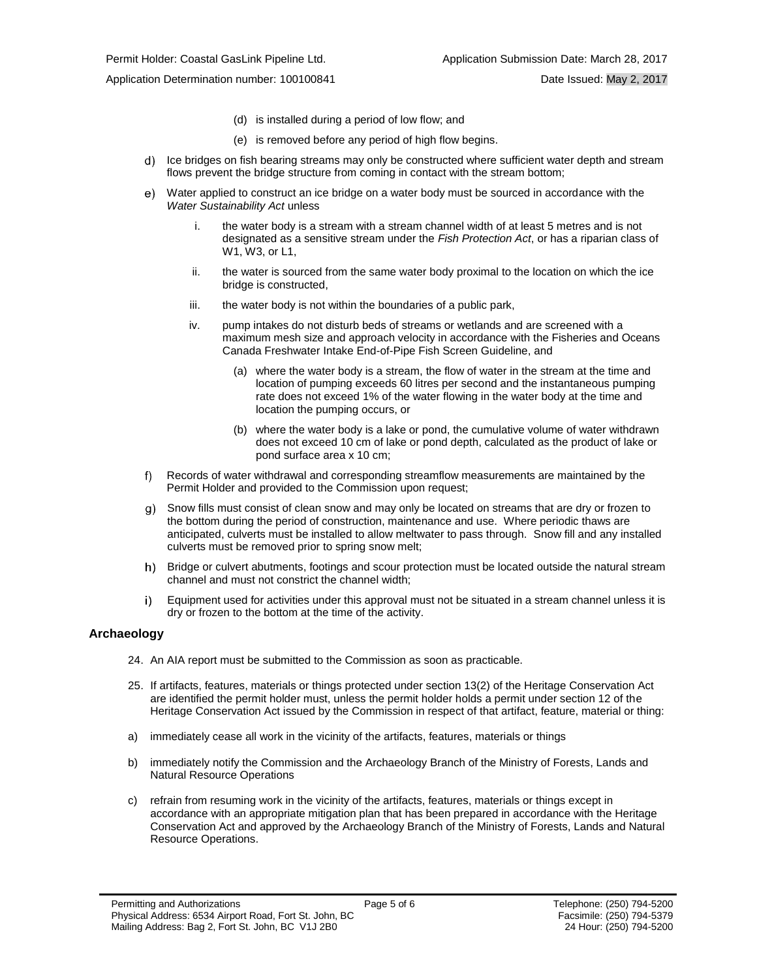- (d) is installed during a period of low flow; and
- (e) is removed before any period of high flow begins.
- d) Ice bridges on fish bearing streams may only be constructed where sufficient water depth and stream flows prevent the bridge structure from coming in contact with the stream bottom;
- $e)$ Water applied to construct an ice bridge on a water body must be sourced in accordance with the *Water Sustainability Act* unless
	- i. the water body is a stream with a stream channel width of at least 5 metres and is not designated as a sensitive stream under the *Fish Protection Act*, or has a riparian class of W1, W3, or L1,
	- ii. the water is sourced from the same water body proximal to the location on which the ice bridge is constructed,
	- iii. the water body is not within the boundaries of a public park,
	- iv. pump intakes do not disturb beds of streams or wetlands and are screened with a maximum mesh size and approach velocity in accordance with the Fisheries and Oceans Canada Freshwater Intake End-of-Pipe Fish Screen Guideline, and
		- (a) where the water body is a stream, the flow of water in the stream at the time and location of pumping exceeds 60 litres per second and the instantaneous pumping rate does not exceed 1% of the water flowing in the water body at the time and location the pumping occurs, or
		- (b) where the water body is a lake or pond, the cumulative volume of water withdrawn does not exceed 10 cm of lake or pond depth, calculated as the product of lake or pond surface area x 10 cm;
- f) Records of water withdrawal and corresponding streamflow measurements are maintained by the Permit Holder and provided to the Commission upon request;
- g) Snow fills must consist of clean snow and may only be located on streams that are dry or frozen to the bottom during the period of construction, maintenance and use. Where periodic thaws are anticipated, culverts must be installed to allow meltwater to pass through. Snow fill and any installed culverts must be removed prior to spring snow melt;
- h) Bridge or culvert abutments, footings and scour protection must be located outside the natural stream channel and must not constrict the channel width;
- Equipment used for activities under this approval must not be situated in a stream channel unless it is i) dry or frozen to the bottom at the time of the activity.

### **Archaeology**

- 24. An AIA report must be submitted to the Commission as soon as practicable.
- 25. If artifacts, features, materials or things protected under section 13(2) of the Heritage Conservation Act are identified the permit holder must, unless the permit holder holds a permit under section 12 of the Heritage Conservation Act issued by the Commission in respect of that artifact, feature, material or thing:
- a) immediately cease all work in the vicinity of the artifacts, features, materials or things
- b) immediately notify the Commission and the Archaeology Branch of the Ministry of Forests, Lands and Natural Resource Operations
- c) refrain from resuming work in the vicinity of the artifacts, features, materials or things except in accordance with an appropriate mitigation plan that has been prepared in accordance with the Heritage Conservation Act and approved by the Archaeology Branch of the Ministry of Forests, Lands and Natural Resource Operations.